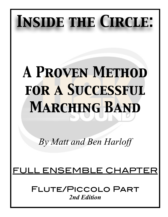# *Inside the Circle:*

## *A Proven Method for a Successful Marching Band*

*By Matt and Ben Harloff* 

## FULL ENSEMBLE CHAP

Flute/Piccolo Part *2nd Edition*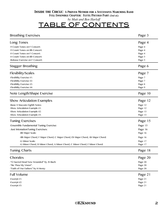| <b>Breathing Exercises</b>                                                     | Page 3  |
|--------------------------------------------------------------------------------|---------|
| Long Tones                                                                     | Page 4  |
| -9 Count Tones on F Concert:                                                   | Page 4  |
| -9 Count Tones on Bb Concert:                                                  | Page 4  |
| -8 Count Tones on F Concert:                                                   | Page 4  |
| -8 Count Tones on Bb Concert:                                                  | Page 5  |
| -Release Exercise on F Concert:                                                | Page 5  |
| Stagger Breathing                                                              | Page 6  |
| <b>Flexibility/Scales</b>                                                      | Page 7  |
| -Flexibility Exercise #1:                                                      | Page 7  |
| -Flexibility Exercise #2:                                                      |         |
| -Flexibility Exercise #3:                                                      | Page 7  |
|                                                                                | Page 8  |
| -Flexibility Exercise #4:                                                      | Page 9  |
| Note Length/Shape Exercise                                                     | Page 10 |
| <b>Show Articulation Examples</b>                                              | Page 12 |
| -Basic 8 Staccato Eighth Notes:                                                | Page 12 |
| -Show Articulation Example #1:                                                 | Page 12 |
|                                                                                | Page 13 |
| -Show Articulation Example #2:<br>-Show Articulation Example #3:               |         |
|                                                                                | Page 13 |
| <b>Tuning Exercises</b>                                                        | Page 15 |
| -Ensemble Fundamental Tuning Exercise:                                         | Page 15 |
| -Just IntonationTuning Exercises:                                              | Page 16 |
| -Bb Major Scale:                                                               | Page 16 |
| -Bb Major Chord, F Major Chord, C Major Chord, Eb Major Chord, Ab Major Chord: | Page 16 |
|                                                                                |         |
| -G Minor Scale:                                                                | Page 17 |
| -G Minor Chord, D Minor Chord, A Minor Chord, C Minor Chord, F Minor Chord:    | Page 17 |
| <b>Tuning Charts</b>                                                           | Page 18 |
| Chorales                                                                       | Page 20 |
| -"O Sacred Head Now Wounded" by JS Bach:                                       | Page 20 |
| -"Be Thou My Vision":                                                          | Page 20 |
| -"Faith of Our Fathers" by H Hemy:                                             | Page 20 |
| <b>Full Volume</b>                                                             | Page 21 |
| -Excerpt $#1$ :                                                                | Page 21 |
| -Excerpt #2:                                                                   | Page 21 |
|                                                                                |         |
| -Excerpt #3:                                                                   | Page 21 |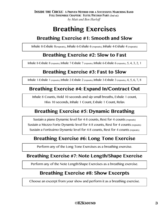## **Breathing Exercises**

## **Breathing Exercise #1: Smooth and Slow**

Inhale 8-Exhale 8(repeats), Inhale 6-Exhale 6 (repeats), Inhale 4-Exhale 4 (repeats)

### **Breathing Exercise #2: Slow to Fast**

Inhale 8-Exhale 8 (repeats), Inhale 7-Exhale 7 (repeats), Inhale 6-Exhale 6 (repeats), 5, 4, 3, 2, 1

## **Breathing Exercise #3: Fast to Slow**

Inhale 1-Exhale 1 (repeats), Inhale 2-Exhale 2 (repeats), Inhale 3-Exhale 3 (repeats), 4, 5, 6, 7, 8

## **Breathing Exercise #4: Expand In/Contract Out**

Inhale 8 Counts, Hold 10 seconds and sip small breaths, Exhale 1 count, Hiss 10 seconds, Inhale 1 Count, Exhale 1 Count, Relax

## **Breathing Exercise #5: Dynamic Breathing**

Sustain a piano Dynamic level for 4-8 counts, Rest for 4 counts (repeats) Sustain a Mezzo Forte Dynamic level for 4-8 counts, Rest for 4 counts (repeats) Sustain a Fortissimo Dynamic level for 4-8 counts, Rest for 4 counts (repeats)

## **Breathing Exercise #6: Long Tone Exercise**

Perform any of the Long Tone Exercises as a breathing exercise.

### **Breathing Exercise #7: Note Length/Shape Exercise**

Perform any of the Note Length/Shape Exercises as a breathing exercise.

## **Breathing Exercise #8: Show Excerpts**

Choose an excerpt from your show and perform it as a breathing exercise.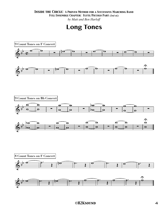#### *Inside the Circle: A Proven Method for a Successful Marching Band*

*Full Ensemble Chapter: Flute/Piccolo Part (2nd ed.)*

*by Matt and Ben Harloff*

## **Long Tones**

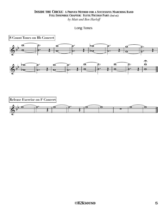*by Matt and Ben Harloff*

```
Long Tones
```
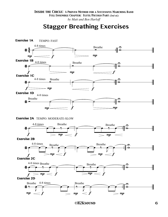## **Stagger Breathing Exercises**



 *©H2Ksound* 6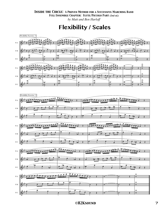**Flexibility / Scales**

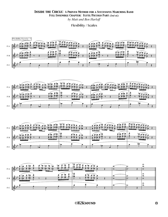Flexibility / Scales









#### *©H2Ksound* 8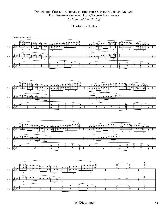Flexibility / Scales







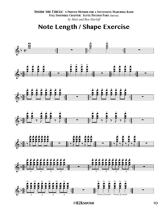**Note Length / Shape Exercise**

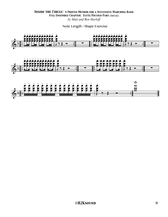Note Length / Shape Exercise

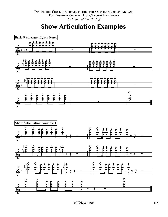**Show Articulation Examples**

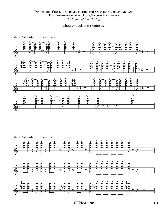#### Show Articulation Examples

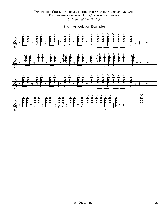Show Articulation Examples

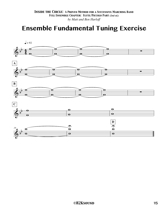## **Ensemble Fundamental Tuning Exercise**

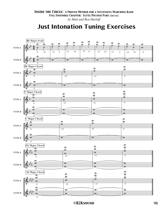## **Just Intonation Tuning Exercises**

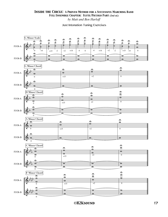#### Just Intonation Tuning Exercises

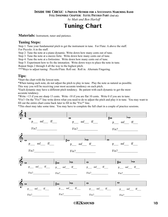#### *Inside the Circle: A Proven Method for a Successful Marching Band*

*Full Ensemble Chapter: Flute/Piccolo Part (2nd ed.)*

*by Matt and Ben Harloff*

## **Tuning Chart**

**Materials:** Instrument, tuner and patience.

#### **Tuning Steps:**

Step 1: Tune your fundamental pitch to get the instrument in tune. For Flute: A above the staff. For Piccolo: A in the staff.

Step 2: Tune the note at a piano dynamic. Write down how many cents out of tune.

Step 3: Tune the note at a mezzo forte. Write down how many cents out of tune.

Step 4: Tune the note at a fortissimo. Write down how many cents out of tune.

Step 5: Experiment how to fix the intonation. Write down ways to place the note in tune.

Repeat Steps 2 through 4 all the way to the highest pitch.

\*\*\*Ways to adjust tuning: Piccolo/Flute: Roll out. Roll in. Alternate Fingering.

#### **Tips:**

\*Start the chart with the lowest note.

\*When tuning each note, do not adjust the pitch to play in tune. Play the note as natural as possible.

This way you will be receiving your most accurate tendency on each pitch.

\*Each dynamic may have a different pitch tendency. Be patient with each dynamic to get the most accurate tendency.

\*Write +13 if you are sharp 13 cents. Write -10 if you are flat 10 cents. Write 0 if you are in tune.

\*Fix?: On the "Fix?" line write down what you need to do to adjust the pitch and play it in tune. You may want to fill out the entire chart come back later to fill in the "Fix?" line.

\*This sheet may take some time. You may have to complete the full chart in a couple of practice sessions.



 *©H2Ksound* 18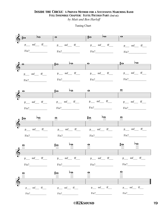*by Matt and Ben Harloff*

Tuning Chart

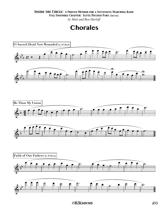*by Matt and Ben Harloff*